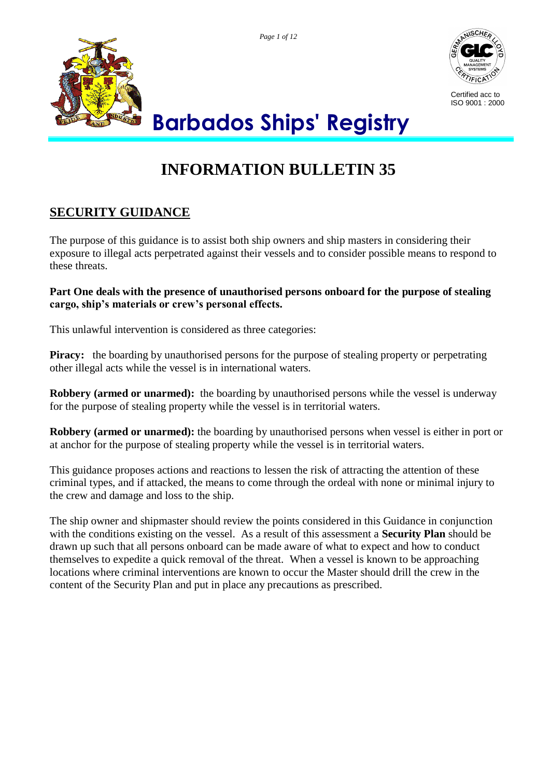*Page 1 of 12*





Certified acc to ISO 9001 : 2000

# **Barbados Ships' Registry**

## **INFORMATION BULLETIN 35**

### **SECURITY GUIDANCE**

The purpose of this guidance is to assist both ship owners and ship masters in considering their exposure to illegal acts perpetrated against their vessels and to consider possible means to respond to these threats.

**Part One deals with the presence of unauthorised persons onboard for the purpose of stealing cargo, ship's materials or crew's personal effects.**

This unlawful intervention is considered as three categories:

**Piracy:** the boarding by unauthorised persons for the purpose of stealing property or perpetrating other illegal acts while the vessel is in international waters.

**Robbery (armed or unarmed):** the boarding by unauthorised persons while the vessel is underway for the purpose of stealing property while the vessel is in territorial waters.

**Robbery (armed or unarmed):** the boarding by unauthorised persons when vessel is either in port or at anchor for the purpose of stealing property while the vessel is in territorial waters.

This guidance proposes actions and reactions to lessen the risk of attracting the attention of these criminal types, and if attacked, the means to come through the ordeal with none or minimal injury to the crew and damage and loss to the ship.

The ship owner and shipmaster should review the points considered in this Guidance in conjunction with the conditions existing on the vessel. As a result of this assessment a **Security Plan** should be drawn up such that all persons onboard can be made aware of what to expect and how to conduct themselves to expedite a quick removal of the threat. When a vessel is known to be approaching locations where criminal interventions are known to occur the Master should drill the crew in the content of the Security Plan and put in place any precautions as prescribed.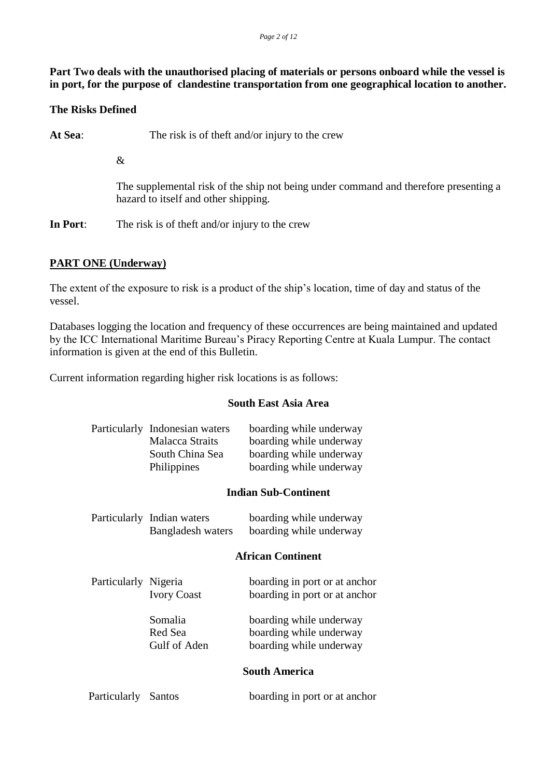**Part Two deals with the unauthorised placing of materials or persons onboard while the vessel is in port, for the purpose of clandestine transportation from one geographical location to another.**

#### **The Risks Defined**

At Sea: The risk is of theft and/or injury to the crew

&

The supplemental risk of the ship not being under command and therefore presenting a hazard to itself and other shipping.

**In Port**: The risk is of theft and/or injury to the crew

#### **PART ONE (Underway)**

The extent of the exposure to risk is a product of the ship's location, time of day and status of the vessel.

Databases logging the location and frequency of these occurrences are being maintained and updated by the ICC International Maritime Bureau's Piracy Reporting Centre at Kuala Lumpur. The contact information is given at the end of this Bulletin.

Current information regarding higher risk locations is as follows:

#### **South East Asia Area**

| Particularly Indonesian waters | boarding while underway |
|--------------------------------|-------------------------|
| <b>Malacca Straits</b>         | boarding while underway |
| South China Sea                | boarding while underway |
| Philippines                    | boarding while underway |

#### **Indian Sub-Continent**

| Particularly Indian waters | boarding while underway |
|----------------------------|-------------------------|
| Bangladesh waters          | boarding while underway |

#### **African Continent**

| Particularly Nigeria | <b>Ivory Coast</b>                 | boarding in port or at anchor<br>boarding in port or at anchor                |
|----------------------|------------------------------------|-------------------------------------------------------------------------------|
|                      | Somalia<br>Red Sea<br>Gulf of Aden | boarding while underway<br>boarding while underway<br>boarding while underway |
|                      |                                    | <b>South America</b>                                                          |

| Particularly Santos |  | boarding in port or at anchor |
|---------------------|--|-------------------------------|
|---------------------|--|-------------------------------|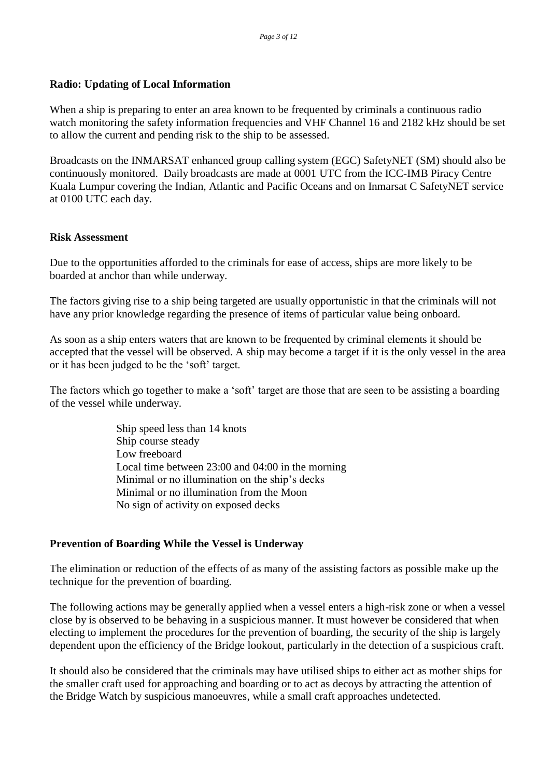#### **Radio: Updating of Local Information**

When a ship is preparing to enter an area known to be frequented by criminals a continuous radio watch monitoring the safety information frequencies and VHF Channel 16 and 2182 kHz should be set to allow the current and pending risk to the ship to be assessed.

Broadcasts on the INMARSAT enhanced group calling system (EGC) SafetyNET (SM) should also be continuously monitored. Daily broadcasts are made at 0001 UTC from the ICC-IMB Piracy Centre Kuala Lumpur covering the Indian, Atlantic and Pacific Oceans and on Inmarsat C SafetyNET service at 0100 UTC each day.

#### **Risk Assessment**

Due to the opportunities afforded to the criminals for ease of access, ships are more likely to be boarded at anchor than while underway.

The factors giving rise to a ship being targeted are usually opportunistic in that the criminals will not have any prior knowledge regarding the presence of items of particular value being onboard.

As soon as a ship enters waters that are known to be frequented by criminal elements it should be accepted that the vessel will be observed. A ship may become a target if it is the only vessel in the area or it has been judged to be the 'soft' target.

The factors which go together to make a 'soft' target are those that are seen to be assisting a boarding of the vessel while underway.

> Ship speed less than 14 knots Ship course steady Low freeboard Local time between 23:00 and 04:00 in the morning Minimal or no illumination on the ship's decks Minimal or no illumination from the Moon No sign of activity on exposed decks

#### **Prevention of Boarding While the Vessel is Underway**

The elimination or reduction of the effects of as many of the assisting factors as possible make up the technique for the prevention of boarding.

The following actions may be generally applied when a vessel enters a high-risk zone or when a vessel close by is observed to be behaving in a suspicious manner. It must however be considered that when electing to implement the procedures for the prevention of boarding, the security of the ship is largely dependent upon the efficiency of the Bridge lookout, particularly in the detection of a suspicious craft.

It should also be considered that the criminals may have utilised ships to either act as mother ships for the smaller craft used for approaching and boarding or to act as decoys by attracting the attention of the Bridge Watch by suspicious manoeuvres, while a small craft approaches undetected.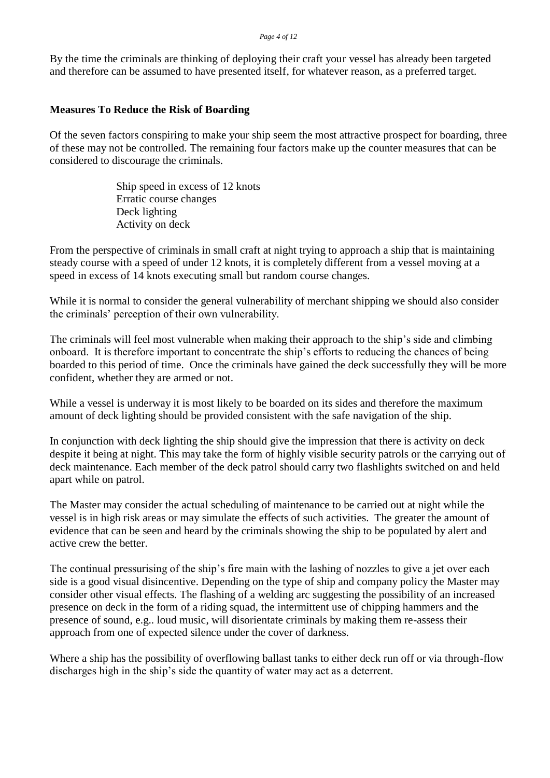#### *Page 4 of 12*

By the time the criminals are thinking of deploying their craft your vessel has already been targeted and therefore can be assumed to have presented itself, for whatever reason, as a preferred target.

#### **Measures To Reduce the Risk of Boarding**

Of the seven factors conspiring to make your ship seem the most attractive prospect for boarding, three of these may not be controlled. The remaining four factors make up the counter measures that can be considered to discourage the criminals.

> Ship speed in excess of 12 knots Erratic course changes Deck lighting Activity on deck

From the perspective of criminals in small craft at night trying to approach a ship that is maintaining steady course with a speed of under 12 knots, it is completely different from a vessel moving at a speed in excess of 14 knots executing small but random course changes.

While it is normal to consider the general vulnerability of merchant shipping we should also consider the criminals' perception of their own vulnerability.

The criminals will feel most vulnerable when making their approach to the ship's side and climbing onboard. It is therefore important to concentrate the ship's efforts to reducing the chances of being boarded to this period of time. Once the criminals have gained the deck successfully they will be more confident, whether they are armed or not.

While a vessel is underway it is most likely to be boarded on its sides and therefore the maximum amount of deck lighting should be provided consistent with the safe navigation of the ship.

In conjunction with deck lighting the ship should give the impression that there is activity on deck despite it being at night. This may take the form of highly visible security patrols or the carrying out of deck maintenance. Each member of the deck patrol should carry two flashlights switched on and held apart while on patrol.

The Master may consider the actual scheduling of maintenance to be carried out at night while the vessel is in high risk areas or may simulate the effects of such activities. The greater the amount of evidence that can be seen and heard by the criminals showing the ship to be populated by alert and active crew the better.

The continual pressurising of the ship's fire main with the lashing of nozzles to give a jet over each side is a good visual disincentive. Depending on the type of ship and company policy the Master may consider other visual effects. The flashing of a welding arc suggesting the possibility of an increased presence on deck in the form of a riding squad, the intermittent use of chipping hammers and the presence of sound, e.g.. loud music, will disorientate criminals by making them re-assess their approach from one of expected silence under the cover of darkness.

Where a ship has the possibility of overflowing ballast tanks to either deck run off or via through-flow discharges high in the ship's side the quantity of water may act as a deterrent.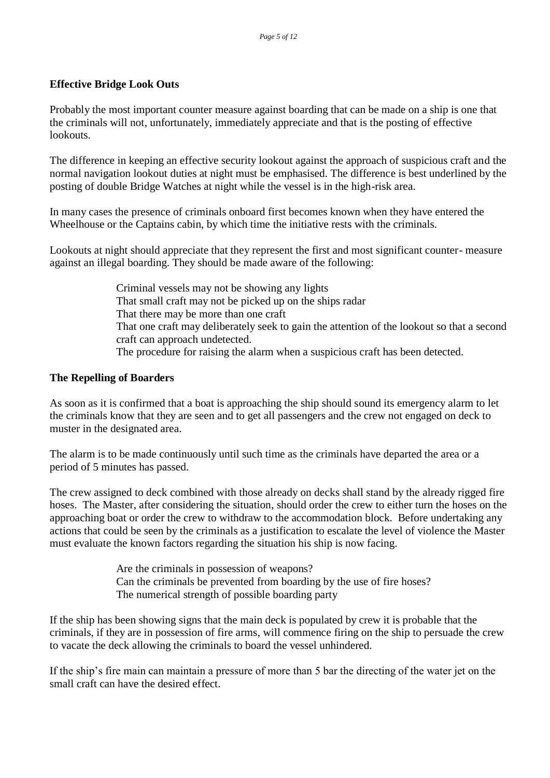#### **Effective Bridge Look Outs**

Probably the most important counter measure against boarding that can be made on a ship is one that the criminals will not, unfortunately, immediately appreciate and that is the posting of effective lookouts.

The difference in keeping an effective security lookout against the approach of suspicious craft and the normal navigation lookout duties at night must be emphasised. The difference is best underlined by the posting of double Bridge Watches at night while the vessel is in the high-risk area.

In many cases the presence of criminals onboard first becomes known when they have entered the Wheelhouse or the Captains cabin, by which time the initiative rests with the criminals.

Lookouts at night should appreciate that they represent the first and most significant counter- measure against an illegal boarding. They should be made aware of the following:

> Criminal vessels may not be showing any lights That small craft may not be picked up on the ships radar That there may be more than one craft That one craft may deliberately seek to gain the attention of the lookout so that a second craft can approach undetected. The procedure for raising the alarm when a suspicious craft has been detected.

#### **The Repelling of Boarders**

As soon as it is confirmed that a boat is approaching the ship should sound its emergency alarm to let the criminals know that they are seen and to get all passengers and the crew not engaged on deck to muster in the designated area.

The alarm is to be made continuously until such time as the criminals have departed the area or a period of 5 minutes has passed.

The crew assigned to deck combined with those already on decks shall stand by the already rigged fire hoses. The Master, after considering the situation, should order the crew to either turn the hoses on the approaching boat or order the crew to withdraw to the accommodation block. Before undertaking any actions that could be seen by the criminals as a justification to escalate the level of violence the Master must evaluate the known factors regarding the situation his ship is now facing.

> Are the criminals in possession of weapons? Can the criminals be prevented from boarding by the use of fire hoses? The numerical strength of possible boarding party

If the ship has been showing signs that the main deck is populated by crew it is probable that the criminals, if they are in possession of fire arms, will commence firing on the ship to persuade the crew to vacate the deck allowing the criminals to board the vessel unhindered.

If the ship's fire main can maintain a pressure of more than 5 bar the directing of the water jet on the small craft can have the desired effect.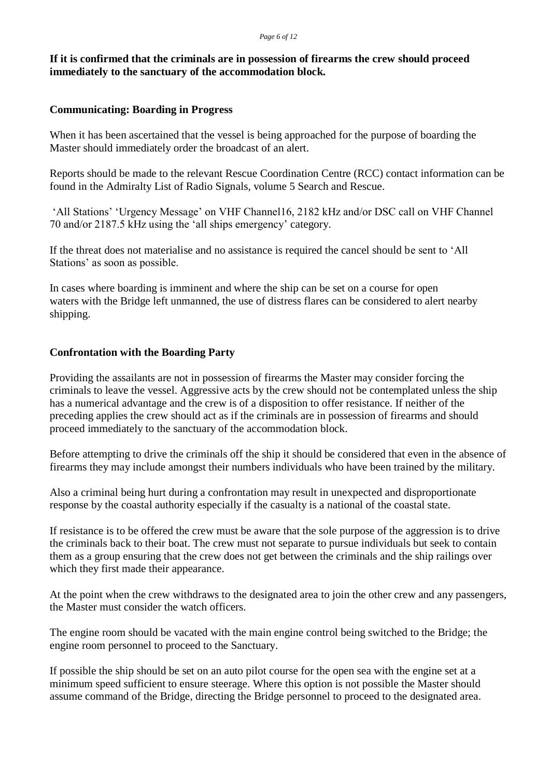#### **If it is confirmed that the criminals are in possession of firearms the crew should proceed immediately to the sanctuary of the accommodation block.**

#### **Communicating: Boarding in Progress**

When it has been ascertained that the vessel is being approached for the purpose of boarding the Master should immediately order the broadcast of an alert.

Reports should be made to the relevant Rescue Coordination Centre (RCC) contact information can be found in the Admiralty List of Radio Signals, volume 5 Search and Rescue.

'All Stations' 'Urgency Message' on VHF Channel16, 2182 kHz and/or DSC call on VHF Channel 70 and/or 2187.5 kHz using the 'all ships emergency' category.

If the threat does not materialise and no assistance is required the cancel should be sent to 'All Stations' as soon as possible.

In cases where boarding is imminent and where the ship can be set on a course for open waters with the Bridge left unmanned, the use of distress flares can be considered to alert nearby shipping.

#### **Confrontation with the Boarding Party**

Providing the assailants are not in possession of firearms the Master may consider forcing the criminals to leave the vessel. Aggressive acts by the crew should not be contemplated unless the ship has a numerical advantage and the crew is of a disposition to offer resistance. If neither of the preceding applies the crew should act as if the criminals are in possession of firearms and should proceed immediately to the sanctuary of the accommodation block.

Before attempting to drive the criminals off the ship it should be considered that even in the absence of firearms they may include amongst their numbers individuals who have been trained by the military.

Also a criminal being hurt during a confrontation may result in unexpected and disproportionate response by the coastal authority especially if the casualty is a national of the coastal state.

If resistance is to be offered the crew must be aware that the sole purpose of the aggression is to drive the criminals back to their boat. The crew must not separate to pursue individuals but seek to contain them as a group ensuring that the crew does not get between the criminals and the ship railings over which they first made their appearance.

At the point when the crew withdraws to the designated area to join the other crew and any passengers, the Master must consider the watch officers.

The engine room should be vacated with the main engine control being switched to the Bridge; the engine room personnel to proceed to the Sanctuary.

If possible the ship should be set on an auto pilot course for the open sea with the engine set at a minimum speed sufficient to ensure steerage. Where this option is not possible the Master should assume command of the Bridge, directing the Bridge personnel to proceed to the designated area.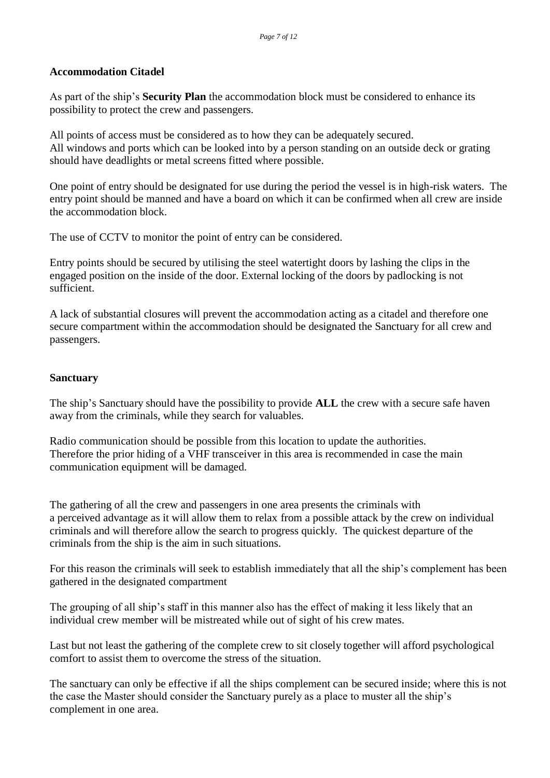#### **Accommodation Citadel**

As part of the ship's **Security Plan** the accommodation block must be considered to enhance its possibility to protect the crew and passengers.

All points of access must be considered as to how they can be adequately secured. All windows and ports which can be looked into by a person standing on an outside deck or grating should have deadlights or metal screens fitted where possible.

One point of entry should be designated for use during the period the vessel is in high-risk waters. The entry point should be manned and have a board on which it can be confirmed when all crew are inside the accommodation block.

The use of CCTV to monitor the point of entry can be considered.

Entry points should be secured by utilising the steel watertight doors by lashing the clips in the engaged position on the inside of the door. External locking of the doors by padlocking is not sufficient.

A lack of substantial closures will prevent the accommodation acting as a citadel and therefore one secure compartment within the accommodation should be designated the Sanctuary for all crew and passengers.

#### **Sanctuary**

The ship's Sanctuary should have the possibility to provide **ALL** the crew with a secure safe haven away from the criminals, while they search for valuables.

Radio communication should be possible from this location to update the authorities. Therefore the prior hiding of a VHF transceiver in this area is recommended in case the main communication equipment will be damaged.

The gathering of all the crew and passengers in one area presents the criminals with a perceived advantage as it will allow them to relax from a possible attack by the crew on individual criminals and will therefore allow the search to progress quickly. The quickest departure of the criminals from the ship is the aim in such situations.

For this reason the criminals will seek to establish immediately that all the ship's complement has been gathered in the designated compartment

The grouping of all ship's staff in this manner also has the effect of making it less likely that an individual crew member will be mistreated while out of sight of his crew mates.

Last but not least the gathering of the complete crew to sit closely together will afford psychological comfort to assist them to overcome the stress of the situation.

The sanctuary can only be effective if all the ships complement can be secured inside; where this is not the case the Master should consider the Sanctuary purely as a place to muster all the ship's complement in one area.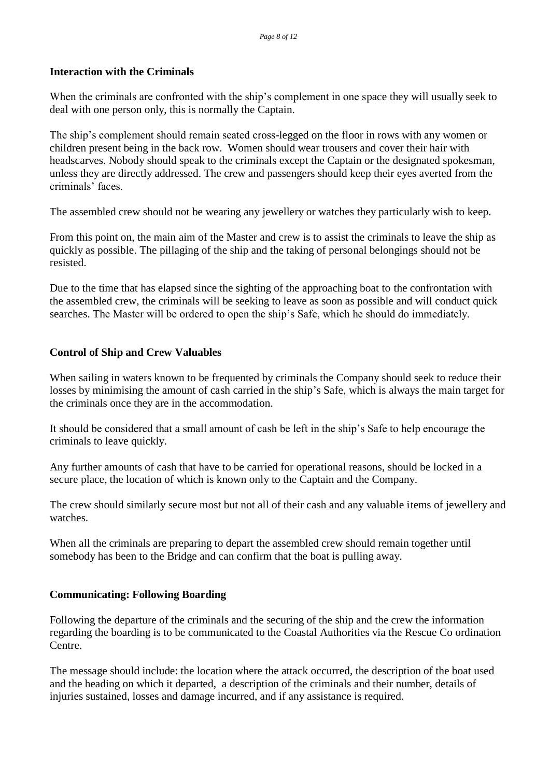#### **Interaction with the Criminals**

When the criminals are confronted with the ship's complement in one space they will usually seek to deal with one person only, this is normally the Captain.

The ship's complement should remain seated cross-legged on the floor in rows with any women or children present being in the back row. Women should wear trousers and cover their hair with headscarves. Nobody should speak to the criminals except the Captain or the designated spokesman, unless they are directly addressed. The crew and passengers should keep their eyes averted from the criminals' faces.

The assembled crew should not be wearing any jewellery or watches they particularly wish to keep.

From this point on, the main aim of the Master and crew is to assist the criminals to leave the ship as quickly as possible. The pillaging of the ship and the taking of personal belongings should not be resisted.

Due to the time that has elapsed since the sighting of the approaching boat to the confrontation with the assembled crew, the criminals will be seeking to leave as soon as possible and will conduct quick searches. The Master will be ordered to open the ship's Safe, which he should do immediately.

#### **Control of Ship and Crew Valuables**

When sailing in waters known to be frequented by criminals the Company should seek to reduce their losses by minimising the amount of cash carried in the ship's Safe, which is always the main target for the criminals once they are in the accommodation.

It should be considered that a small amount of cash be left in the ship's Safe to help encourage the criminals to leave quickly.

Any further amounts of cash that have to be carried for operational reasons, should be locked in a secure place, the location of which is known only to the Captain and the Company.

The crew should similarly secure most but not all of their cash and any valuable items of jewellery and watches.

When all the criminals are preparing to depart the assembled crew should remain together until somebody has been to the Bridge and can confirm that the boat is pulling away.

#### **Communicating: Following Boarding**

Following the departure of the criminals and the securing of the ship and the crew the information regarding the boarding is to be communicated to the Coastal Authorities via the Rescue Co ordination Centre.

The message should include: the location where the attack occurred, the description of the boat used and the heading on which it departed, a description of the criminals and their number, details of injuries sustained, losses and damage incurred, and if any assistance is required.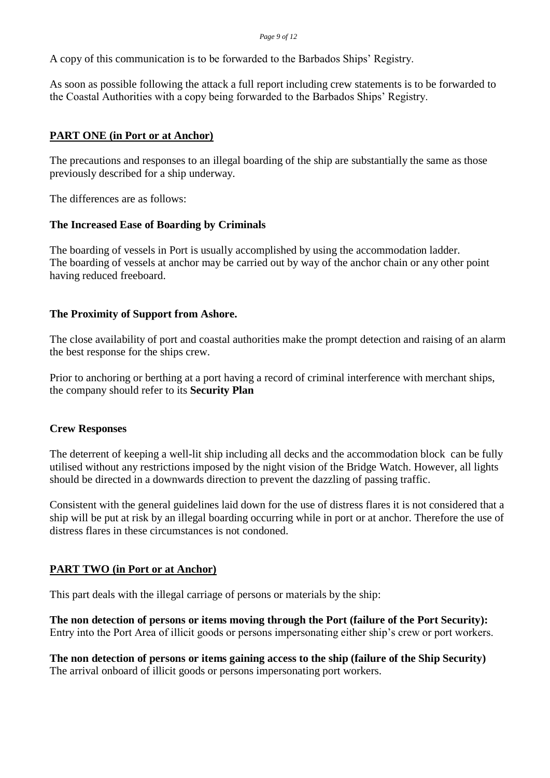A copy of this communication is to be forwarded to the Barbados Ships' Registry.

As soon as possible following the attack a full report including crew statements is to be forwarded to the Coastal Authorities with a copy being forwarded to the Barbados Ships' Registry.

#### **PART ONE (in Port or at Anchor)**

The precautions and responses to an illegal boarding of the ship are substantially the same as those previously described for a ship underway.

The differences are as follows:

#### **The Increased Ease of Boarding by Criminals**

The boarding of vessels in Port is usually accomplished by using the accommodation ladder. The boarding of vessels at anchor may be carried out by way of the anchor chain or any other point having reduced freeboard.

#### **The Proximity of Support from Ashore.**

The close availability of port and coastal authorities make the prompt detection and raising of an alarm the best response for the ships crew.

Prior to anchoring or berthing at a port having a record of criminal interference with merchant ships, the company should refer to its **Security Plan**

#### **Crew Responses**

The deterrent of keeping a well-lit ship including all decks and the accommodation block can be fully utilised without any restrictions imposed by the night vision of the Bridge Watch. However, all lights should be directed in a downwards direction to prevent the dazzling of passing traffic.

Consistent with the general guidelines laid down for the use of distress flares it is not considered that a ship will be put at risk by an illegal boarding occurring while in port or at anchor. Therefore the use of distress flares in these circumstances is not condoned.

#### **PART TWO (in Port or at Anchor)**

This part deals with the illegal carriage of persons or materials by the ship:

**The non detection of persons or items moving through the Port (failure of the Port Security):** Entry into the Port Area of illicit goods or persons impersonating either ship's crew or port workers.

**The non detection of persons or items gaining access to the ship (failure of the Ship Security)**  The arrival onboard of illicit goods or persons impersonating port workers.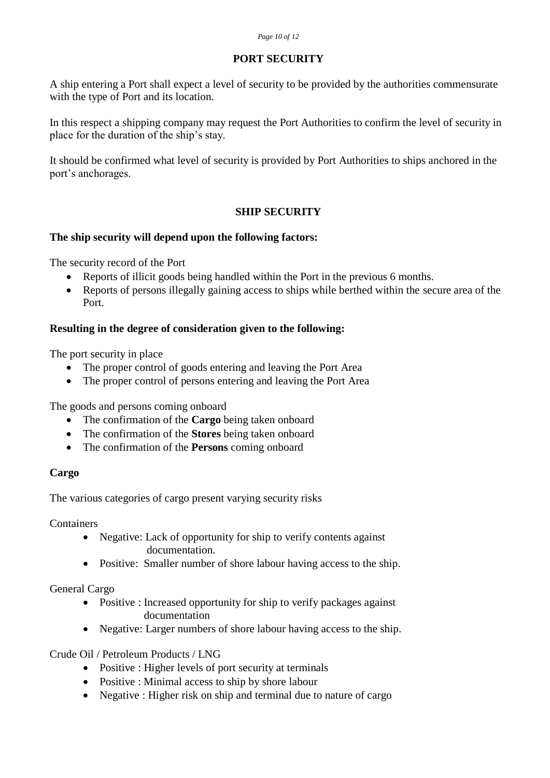#### **PORT SECURITY**

A ship entering a Port shall expect a level of security to be provided by the authorities commensurate with the type of Port and its location.

In this respect a shipping company may request the Port Authorities to confirm the level of security in place for the duration of the ship's stay.

It should be confirmed what level of security is provided by Port Authorities to ships anchored in the port's anchorages.

#### **SHIP SECURITY**

#### **The ship security will depend upon the following factors:**

The security record of the Port

- Reports of illicit goods being handled within the Port in the previous 6 months.
- Reports of persons illegally gaining access to ships while berthed within the secure area of the Port.

#### **Resulting in the degree of consideration given to the following:**

The port security in place

- The proper control of goods entering and leaving the Port Area
- The proper control of persons entering and leaving the Port Area

The goods and persons coming onboard

- The confirmation of the **Cargo** being taken onboard
- The confirmation of the **Stores** being taken onboard
- The confirmation of the **Persons** coming onboard

#### **Cargo**

The various categories of cargo present varying security risks

Containers

- Negative: Lack of opportunity for ship to verify contents against documentation.
- Positive: Smaller number of shore labour having access to the ship.

#### General Cargo

- Positive : Increased opportunity for ship to verify packages against documentation
- Negative: Larger numbers of shore labour having access to the ship.

Crude Oil / Petroleum Products / LNG

- Positive : Higher levels of port security at terminals
- Positive : Minimal access to ship by shore labour
- Negative : Higher risk on ship and terminal due to nature of cargo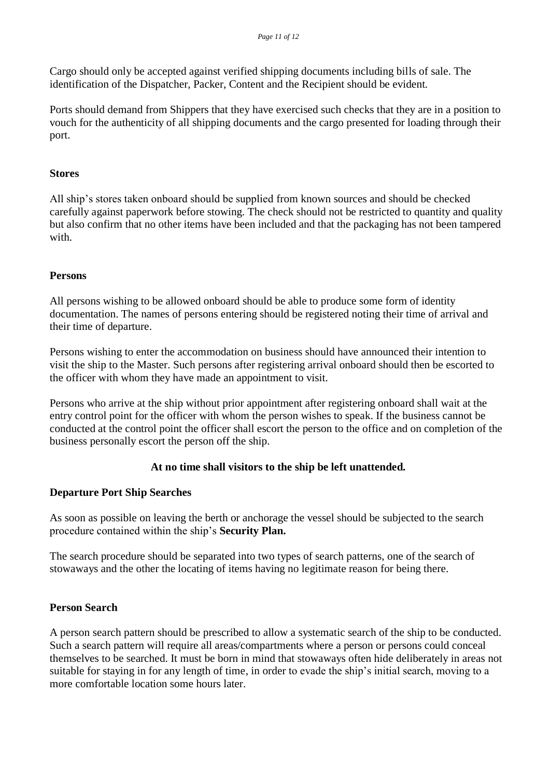Cargo should only be accepted against verified shipping documents including bills of sale. The identification of the Dispatcher, Packer, Content and the Recipient should be evident.

Ports should demand from Shippers that they have exercised such checks that they are in a position to vouch for the authenticity of all shipping documents and the cargo presented for loading through their port.

#### **Stores**

All ship's stores taken onboard should be supplied from known sources and should be checked carefully against paperwork before stowing. The check should not be restricted to quantity and quality but also confirm that no other items have been included and that the packaging has not been tampered with.

#### **Persons**

All persons wishing to be allowed onboard should be able to produce some form of identity documentation. The names of persons entering should be registered noting their time of arrival and their time of departure.

Persons wishing to enter the accommodation on business should have announced their intention to visit the ship to the Master. Such persons after registering arrival onboard should then be escorted to the officer with whom they have made an appointment to visit.

Persons who arrive at the ship without prior appointment after registering onboard shall wait at the entry control point for the officer with whom the person wishes to speak. If the business cannot be conducted at the control point the officer shall escort the person to the office and on completion of the business personally escort the person off the ship.

#### **At no time shall visitors to the ship be left unattended.**

#### **Departure Port Ship Searches**

As soon as possible on leaving the berth or anchorage the vessel should be subjected to the search procedure contained within the ship's **Security Plan.**

The search procedure should be separated into two types of search patterns, one of the search of stowaways and the other the locating of items having no legitimate reason for being there.

#### **Person Search**

A person search pattern should be prescribed to allow a systematic search of the ship to be conducted. Such a search pattern will require all areas/compartments where a person or persons could conceal themselves to be searched. It must be born in mind that stowaways often hide deliberately in areas not suitable for staying in for any length of time, in order to evade the ship's initial search, moving to a more comfortable location some hours later.